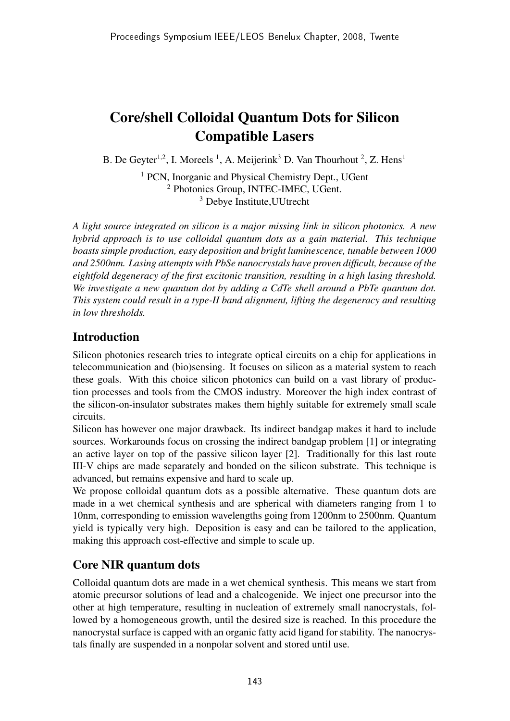# Core/shell Colloidal Quantum Dots for Silicon Compatible Lasers

B. De Geyter<sup>1,2</sup>, I. Moreels<sup>1</sup>, A. Meijerink<sup>3</sup> D. Van Thourhout<sup>2</sup>, Z. Hens<sup>1</sup>

<sup>1</sup> PCN, Inorganic and Physical Chemistry Dept., UGent <sup>2</sup> Photonics Group, INTEC-IMEC, UGent. <sup>3</sup> Debye Institute,UUtrecht

*A light source integrated on silicon is a major missing link in silicon photonics. A new hybrid approach is to use colloidal quantum dots as a gain material. This technique boasts simple production, easy deposition and bright luminescence, tunable between 1000 and 2500nm. Lasing attempts with PbSe nanocrystals have proven difficult, because of the eightfold degeneracy of the first excitonic transition, resulting in a high lasing threshold. We investigate a new quantum dot by adding a CdTe shell around a PbTe quantum dot. This system could result in a type-II band alignment, lifting the degeneracy and resulting in low thresholds.*

## Introduction

Silicon photonics research tries to integrate optical circuits on a chip for applications in telecommunication and (bio)sensing. It focuses on silicon as a material system to reach these goals. With this choice silicon photonics can build on a vast library of production processes and tools from the CMOS industry. Moreover the high index contrast of the silicon-on-insulator substrates makes them highly suitable for extremely small scale circuits.

Silicon has however one major drawback. Its indirect bandgap makes it hard to include sources. Workarounds focus on crossing the indirect bandgap problem [1] or integrating an active layer on top of the passive silicon layer [2]. Traditionally for this last route III-V chips are made separately and bonded on the silicon substrate. This technique is advanced, but remains expensive and hard to scale up.

We propose colloidal quantum dots as a possible alternative. These quantum dots are made in a wet chemical synthesis and are spherical with diameters ranging from 1 to 10nm, corresponding to emission wavelengths going from 1200nm to 2500nm. Quantum yield is typically very high. Deposition is easy and can be tailored to the application, making this approach cost-effective and simple to scale up.

## Core NIR quantum dots

Colloidal quantum dots are made in a wet chemical synthesis. This means we start from atomic precursor solutions of lead and a chalcogenide. We inject one precursor into the other at high temperature, resulting in nucleation of extremely small nanocrystals, followed by a homogeneous growth, until the desired size is reached. In this procedure the nanocrystal surface is capped with an organic fatty acid ligand for stability. The nanocrystals finally are suspended in a nonpolar solvent and stored until use.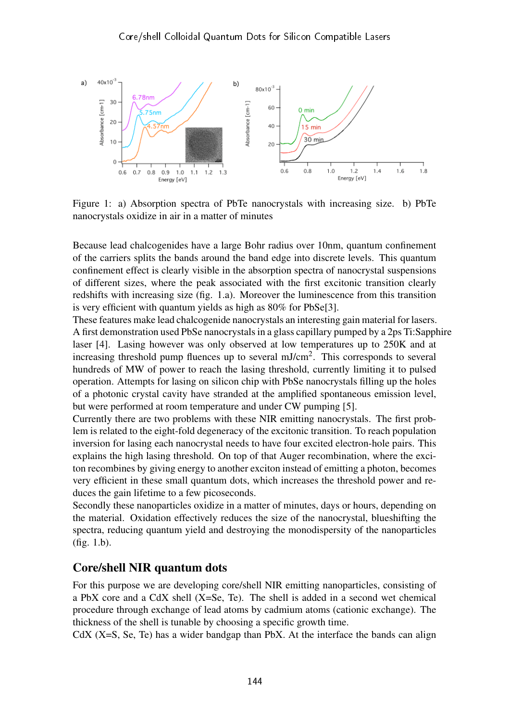

Figure 1: a) Absorption spectra of PbTe nanocrystals with increasing size. b) PbTe nanocrystals oxidize in air in a matter of minutes

Because lead chalcogenides have a large Bohr radius over 10nm, quantum confinement of the carriers splits the bands around the band edge into discrete levels. This quantum confinement effect is clearly visible in the absorption spectra of nanocrystal suspensions of different sizes, where the peak associated with the first excitonic transition clearly redshifts with increasing size (fig. 1.a). Moreover the luminescence from this transition is very efficient with quantum yields as high as 80% for PbSe[3].

These features make lead chalcogenide nanocrystals an interesting gain material for lasers. A first demonstration used PbSe nanocrystals in a glass capillary pumped by a 2ps Ti:Sapphire laser [4]. Lasing however was only observed at low temperatures up to 250K and at increasing threshold pump fluences up to several mJ/cm<sup>2</sup>. This corresponds to several hundreds of MW of power to reach the lasing threshold, currently limiting it to pulsed operation. Attempts for lasing on silicon chip with PbSe nanocrystals filling up the holes of a photonic crystal cavity have stranded at the amplified spontaneous emission level, but were performed at room temperature and under CW pumping [5].

Currently there are two problems with these NIR emitting nanocrystals. The first problem is related to the eight-fold degeneracy of the excitonic transition. To reach population inversion for lasing each nanocrystal needs to have four excited electron-hole pairs. This explains the high lasing threshold. On top of that Auger recombination, where the exciton recombines by giving energy to another exciton instead of emitting a photon, becomes very efficient in these small quantum dots, which increases the threshold power and reduces the gain lifetime to a few picoseconds.

Secondly these nanoparticles oxidize in a matter of minutes, days or hours, depending on the material. Oxidation effectively reduces the size of the nanocrystal, blueshifting the spectra, reducing quantum yield and destroying the monodispersity of the nanoparticles (fig. 1.b).

### Core/shell NIR quantum dots

For this purpose we are developing core/shell NIR emitting nanoparticles, consisting of a PbX core and a CdX shell (X=Se, Te). The shell is added in a second wet chemical procedure through exchange of lead atoms by cadmium atoms (cationic exchange). The thickness of the shell is tunable by choosing a specific growth time.

CdX  $(X=S, Se, Te)$  has a wider bandgap than PbX. At the interface the bands can align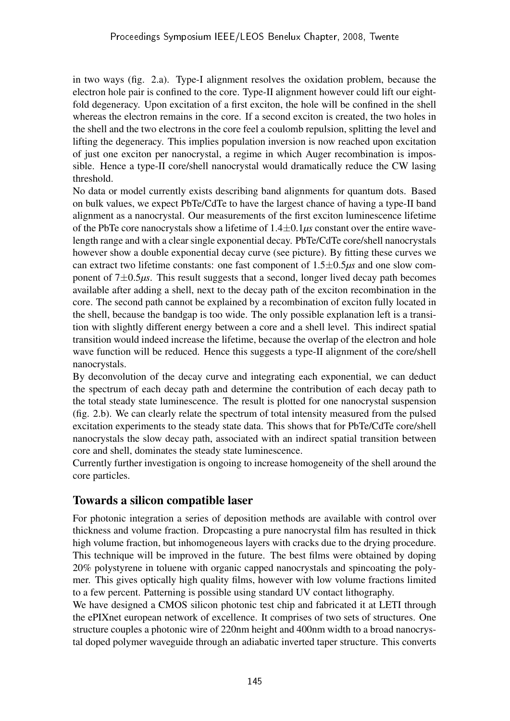in two ways (fig. 2.a). Type-I alignment resolves the oxidation problem, because the electron hole pair is confined to the core. Type-II alignment however could lift our eightfold degeneracy. Upon excitation of a first exciton, the hole will be confined in the shell whereas the electron remains in the core. If a second exciton is created, the two holes in the shell and the two electrons in the core feel a coulomb repulsion, splitting the level and lifting the degeneracy. This implies population inversion is now reached upon excitation of just one exciton per nanocrystal, a regime in which Auger recombination is impossible. Hence a type-II core/shell nanocrystal would dramatically reduce the CW lasing threshold.

No data or model currently exists describing band alignments for quantum dots. Based on bulk values, we expect PbTe/CdTe to have the largest chance of having a type-II band alignment as a nanocrystal. Our measurements of the first exciton luminescence lifetime of the PbTe core nanocrystals show a lifetime of 1.4±0.1*µs* constant over the entire wavelength range and with a clear single exponential decay. PbTe/CdTe core/shell nanocrystals however show a double exponential decay curve (see picture). By fitting these curves we can extract two lifetime constants: one fast component of 1.5±0.5*µs* and one slow component of 7±0.5*µs*. This result suggests that a second, longer lived decay path becomes available after adding a shell, next to the decay path of the exciton recombination in the core. The second path cannot be explained by a recombination of exciton fully located in the shell, because the bandgap is too wide. The only possible explanation left is a transition with slightly different energy between a core and a shell level. This indirect spatial transition would indeed increase the lifetime, because the overlap of the electron and hole wave function will be reduced. Hence this suggests a type-II alignment of the core/shell nanocrystals.

By deconvolution of the decay curve and integrating each exponential, we can deduct the spectrum of each decay path and determine the contribution of each decay path to the total steady state luminescence. The result is plotted for one nanocrystal suspension (fig. 2.b). We can clearly relate the spectrum of total intensity measured from the pulsed excitation experiments to the steady state data. This shows that for PbTe/CdTe core/shell nanocrystals the slow decay path, associated with an indirect spatial transition between core and shell, dominates the steady state luminescence.

Currently further investigation is ongoing to increase homogeneity of the shell around the core particles.

### Towards a silicon compatible laser

For photonic integration a series of deposition methods are available with control over thickness and volume fraction. Dropcasting a pure nanocrystal film has resulted in thick high volume fraction, but inhomogeneous layers with cracks due to the drying procedure. This technique will be improved in the future. The best films were obtained by doping 20% polystyrene in toluene with organic capped nanocrystals and spincoating the polymer. This gives optically high quality films, however with low volume fractions limited to a few percent. Patterning is possible using standard UV contact lithography.

We have designed a CMOS silicon photonic test chip and fabricated it at LETI through the ePIXnet european network of excellence. It comprises of two sets of structures. One structure couples a photonic wire of 220nm height and 400nm width to a broad nanocrystal doped polymer waveguide through an adiabatic inverted taper structure. This converts